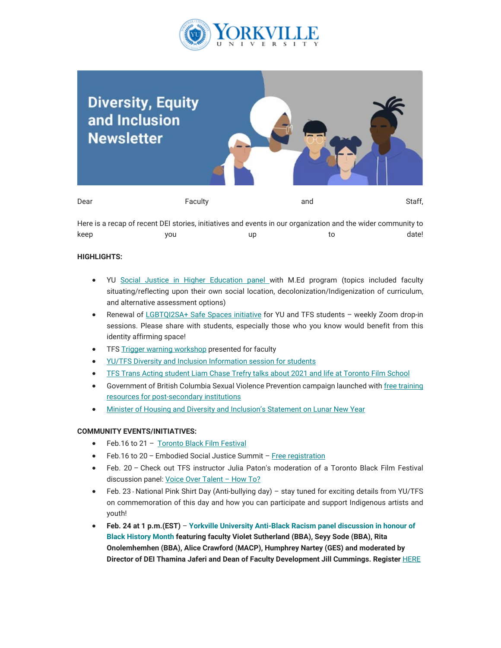



Here is a recap of recent DEI stories, initiatives and events in our organization and the wider community to keep you up to date!

## **HIGHLIGHTS:**

- YU [Social Justice in Higher Education panel w](https://can01.safelinks.protection.outlook.com/?url=https%3A%2F%2Fyoutu.be%2F5fcnYYczjm8&data=05%7C01%7Cmfraser%40yorkvilleu.ca%7C99302d63c38c4d1c237808da4d600cbb%7C8e5c33be6efe45efb1956787de8fd649%7C0%7C0%7C637907372162914985%7CUnknown%7CTWFpbGZsb3d8eyJWIjoiMC4wLjAwMDAiLCJQIjoiV2luMzIiLCJBTiI6Ik1haWwiLCJXVCI6Mn0%3D%7C3000%7C%7C%7C&sdata=9YTR0gedqb6XUIvFbCiC8O9UxzmOukmVS%2F8PH1%2FRgmk%3D&reserved=0)ith M.Ed program (topics included faculty situating/reflecting upon their own social location, decolonization/Indigenization of curriculum, and alternative assessment options)
- Renewal of [LGBTQI2SA+ Safe Spaces initiative](https://can01.safelinks.protection.outlook.com/?url=https%3A%2F%2Fmy.yorkvilleu.ca%2Flgbtqi2sa-safe-space%2F%3Fv%3DdwTvGHdP_1A&data=05%7C01%7Cmfraser%40yorkvilleu.ca%7C99302d63c38c4d1c237808da4d600cbb%7C8e5c33be6efe45efb1956787de8fd649%7C0%7C0%7C637907372162914985%7CUnknown%7CTWFpbGZsb3d8eyJWIjoiMC4wLjAwMDAiLCJQIjoiV2luMzIiLCJBTiI6Ik1haWwiLCJXVCI6Mn0%3D%7C3000%7C%7C%7C&sdata=aZi6np1kBykNFDMXZsdieFE0wdQIew6jZxi7%2Bhho6AQ%3D&reserved=0) for YU and TFS students weekly Zoom drop-in sessions. Please share with students, especially those who you know would benefit from this identity affirming space!
- TFS [Trigger warning workshop](https://can01.safelinks.protection.outlook.com/?url=https%3A%2F%2Fyec-my.sharepoint.com%2Fpersonal%2Ftjaferi_yorkvilleu_ca%2F_layouts%2F15%2Fonedrive.aspx%3Fid%3D%252Fpersonal%252Ftjaferi_yorkvilleu_ca%252FDocuments%252FAttachments%252FJan.24th%2520TFS%2520Trigger%2520Warning%2520Workshop%25282%2529.mp4%26parent%3D%252Fpersonal%252Ftjaferi_yorkvilleu_ca%252FDocuments%252FAttachments&data=05%7C01%7Cmfraser%40yorkvilleu.ca%7C99302d63c38c4d1c237808da4d600cbb%7C8e5c33be6efe45efb1956787de8fd649%7C0%7C0%7C637907372162914985%7CUnknown%7CTWFpbGZsb3d8eyJWIjoiMC4wLjAwMDAiLCJQIjoiV2luMzIiLCJBTiI6Ik1haWwiLCJXVCI6Mn0%3D%7C3000%7C%7C%7C&sdata=qbe3LVCwWWISAOpL9R%2BZD4%2FhZpQmQY5mmHVmnfmTXYM%3D&reserved=0) presented for faculty
- [YU/TFS Diversity and Inclusion Information session for students](https://can01.safelinks.protection.outlook.com/?url=https%3A%2F%2Fwww.youtube.com%2Fwatch%3Fv%3DLsp9FMos7ro&data=05%7C01%7Cmfraser%40yorkvilleu.ca%7C99302d63c38c4d1c237808da4d600cbb%7C8e5c33be6efe45efb1956787de8fd649%7C0%7C0%7C637907372162914985%7CUnknown%7CTWFpbGZsb3d8eyJWIjoiMC4wLjAwMDAiLCJQIjoiV2luMzIiLCJBTiI6Ik1haWwiLCJXVCI6Mn0%3D%7C3000%7C%7C%7C&sdata=GyFavq6zKR2967ApQgUsJRYrQTLbJI2M9BsxIAk8Mno%3D&reserved=0)
- [TFS Trans Acting student Liam Chase Trefry talks about 2021 and life at Toronto Film School](https://can01.safelinks.protection.outlook.com/?url=https%3A%2F%2Fwww.youtube.com%2Fwatch%3Fv%3DdwTvGHdP_1A&data=05%7C01%7Cmfraser%40yorkvilleu.ca%7C99302d63c38c4d1c237808da4d600cbb%7C8e5c33be6efe45efb1956787de8fd649%7C0%7C0%7C637907372162914985%7CUnknown%7CTWFpbGZsb3d8eyJWIjoiMC4wLjAwMDAiLCJQIjoiV2luMzIiLCJBTiI6Ik1haWwiLCJXVCI6Mn0%3D%7C3000%7C%7C%7C&sdata=Ay7gB1Gy4W1uVJDd%2BPxEIRB%2Feeoso9JSOyeEIdlzmrE%3D&reserved=0)
- Government of British Columbia Sexual Violence Prevention campaign launched with [free training](https://can01.safelinks.protection.outlook.com/?url=https%3A%2F%2Fbccampus.ca%2Fprojects%2Fwellness%2Fpreventing-sexual-violence%2F&data=05%7C01%7Cmfraser%40yorkvilleu.ca%7C99302d63c38c4d1c237808da4d600cbb%7C8e5c33be6efe45efb1956787de8fd649%7C0%7C0%7C637907372162914985%7CUnknown%7CTWFpbGZsb3d8eyJWIjoiMC4wLjAwMDAiLCJQIjoiV2luMzIiLCJBTiI6Ik1haWwiLCJXVCI6Mn0%3D%7C3000%7C%7C%7C&sdata=%2FbQbuAx2PF553%2BPz8P4meFGQuIUgZcpHzCVw4OjENck%3D&reserved=0) [resources for post-secondary institutions](https://can01.safelinks.protection.outlook.com/?url=https%3A%2F%2Fbccampus.ca%2Fprojects%2Fwellness%2Fpreventing-sexual-violence%2F&data=05%7C01%7Cmfraser%40yorkvilleu.ca%7C99302d63c38c4d1c237808da4d600cbb%7C8e5c33be6efe45efb1956787de8fd649%7C0%7C0%7C637907372162914985%7CUnknown%7CTWFpbGZsb3d8eyJWIjoiMC4wLjAwMDAiLCJQIjoiV2luMzIiLCJBTiI6Ik1haWwiLCJXVCI6Mn0%3D%7C3000%7C%7C%7C&sdata=%2FbQbuAx2PF553%2BPz8P4meFGQuIUgZcpHzCVw4OjENck%3D&reserved=0)
- [Minister of Housing and Diversity and Inclusion's Statement on Lunar New Year](https://can01.safelinks.protection.outlook.com/?url=https%3A%2F%2Fwww.canada.ca%2Fen%2Fcanadian-heritage%2Fnews%2F2022%2F01%2Fstatement-by-minister-hussen-on-lunar-new-year.html&data=05%7C01%7Cmfraser%40yorkvilleu.ca%7C99302d63c38c4d1c237808da4d600cbb%7C8e5c33be6efe45efb1956787de8fd649%7C0%7C0%7C637907372162914985%7CUnknown%7CTWFpbGZsb3d8eyJWIjoiMC4wLjAwMDAiLCJQIjoiV2luMzIiLCJBTiI6Ik1haWwiLCJXVCI6Mn0%3D%7C3000%7C%7C%7C&sdata=LN4MbTPb1CH1pMB3G%2Bcoi22HgYTsQekccdlH2joRAy0%3D&reserved=0)

## **COMMUNITY EVENTS/INITIATIVES:**

- Feb.16 to 21 [Toronto Black Film Festival](https://can01.safelinks.protection.outlook.com/?url=https%3A%2F%2Ftorontoblackfilm.com%2F&data=05%7C01%7Cmfraser%40yorkvilleu.ca%7C99302d63c38c4d1c237808da4d600cbb%7C8e5c33be6efe45efb1956787de8fd649%7C0%7C0%7C637907372162914985%7CUnknown%7CTWFpbGZsb3d8eyJWIjoiMC4wLjAwMDAiLCJQIjoiV2luMzIiLCJBTiI6Ik1haWwiLCJXVCI6Mn0%3D%7C3000%7C%7C%7C&sdata=5B1iWoCQdrGSjU%2BC9QUZDMVL4tH3GL%2FF%2BDpkiVgknD4%3D&reserved=0)
- Feb.16 to 20 Embodied Social Justice Summit – [Free registration](https://can01.safelinks.protection.outlook.com/?url=https%3A%2F%2Fwww.embodiedsocialjusticesummit.com%2F&data=05%7C01%7Cmfraser%40yorkvilleu.ca%7C99302d63c38c4d1c237808da4d600cbb%7C8e5c33be6efe45efb1956787de8fd649%7C0%7C0%7C637907372162914985%7CUnknown%7CTWFpbGZsb3d8eyJWIjoiMC4wLjAwMDAiLCJQIjoiV2luMzIiLCJBTiI6Ik1haWwiLCJXVCI6Mn0%3D%7C3000%7C%7C%7C&sdata=6H0R5404StwAIyJ%2BdN7Bbsa6h9Aw%2Fgj%2BuqmC7adMU5g%3D&reserved=0)
- Feb. 20 Check out TFS instructor Julia Paton's moderation of a Toronto Black Film Festival discussion panel: [Voice Over Talent – How To?](https://can01.safelinks.protection.outlook.com/?url=https%3A%2F%2Fwww.torontofilmschool.ca%2Fblog%2Ftfs-instructor-julia-paton-to-moderate-toronto-black-film-festival-panel%2F&data=05%7C01%7Cmfraser%40yorkvilleu.ca%7C99302d63c38c4d1c237808da4d600cbb%7C8e5c33be6efe45efb1956787de8fd649%7C0%7C0%7C637907372162914985%7CUnknown%7CTWFpbGZsb3d8eyJWIjoiMC4wLjAwMDAiLCJQIjoiV2luMzIiLCJBTiI6Ik1haWwiLCJXVCI6Mn0%3D%7C3000%7C%7C%7C&sdata=XYnvuBFSdH40qM%2BGNFTHfpx%2FWXkL0i67hLvWMRaaUEI%3D&reserved=0)
- Feb. 23 National Pink Shirt Day (Anti-bullying day) stay tuned for exciting details from YU/TFS on commemoration of this day and how you can participate and support Indigenous artists and youth!
- **Feb. 24 at 1 p.m.(EST) [Yorkville University Anti-Black Racism panel discussion in honour of](https://can01.safelinks.protection.outlook.com/?url=https%3A%2F%2Fwww.yorkvilleu.ca%2Fyorkville-faculty-to-discuss-the-role-of-educators-in-combatting-anti-black-racism-at-upcoming-webinar%2F&data=05%7C01%7Cmfraser%40yorkvilleu.ca%7C99302d63c38c4d1c237808da4d600cbb%7C8e5c33be6efe45efb1956787de8fd649%7C0%7C0%7C637907372162914985%7CUnknown%7CTWFpbGZsb3d8eyJWIjoiMC4wLjAwMDAiLCJQIjoiV2luMzIiLCJBTiI6Ik1haWwiLCJXVCI6Mn0%3D%7C3000%7C%7C%7C&sdata=6IGutaRIjdDikhW5Ai5SdeQK99rchfILokEPbPEseNg%3D&reserved=0) [Black History Month](https://can01.safelinks.protection.outlook.com/?url=https%3A%2F%2Fwww.yorkvilleu.ca%2Fyorkville-faculty-to-discuss-the-role-of-educators-in-combatting-anti-black-racism-at-upcoming-webinar%2F&data=05%7C01%7Cmfraser%40yorkvilleu.ca%7C99302d63c38c4d1c237808da4d600cbb%7C8e5c33be6efe45efb1956787de8fd649%7C0%7C0%7C637907372162914985%7CUnknown%7CTWFpbGZsb3d8eyJWIjoiMC4wLjAwMDAiLCJQIjoiV2luMzIiLCJBTiI6Ik1haWwiLCJXVCI6Mn0%3D%7C3000%7C%7C%7C&sdata=6IGutaRIjdDikhW5Ai5SdeQK99rchfILokEPbPEseNg%3D&reserved=0) featuring faculty Violet Sutherland (BBA), Seyy Sode (BBA), Rita Onolemhemhen (BBA), Alice Crawford (MACP), Humphrey Nartey (GES) and moderated by Director of DEI Thamina Jaferi and Dean of Faculty Development Jill Cummings. Register** [HERE](https://can01.safelinks.protection.outlook.com/?url=https%3A%2F%2Fyorkvilleu-tfs.zoom.us%2Fmeeting%2Fregister%2FtJMoceqsrT4vGdaaTn4nAcOiLv4pLuJakR_E&data=05%7C01%7Cmfraser%40yorkvilleu.ca%7C99302d63c38c4d1c237808da4d600cbb%7C8e5c33be6efe45efb1956787de8fd649%7C0%7C0%7C637907372162914985%7CUnknown%7CTWFpbGZsb3d8eyJWIjoiMC4wLjAwMDAiLCJQIjoiV2luMzIiLCJBTiI6Ik1haWwiLCJXVCI6Mn0%3D%7C3000%7C%7C%7C&sdata=3asOwz57%2Fk6%2FGDT7IKbSoruTt3xWTYyT%2BMbEnzwccrY%3D&reserved=0)